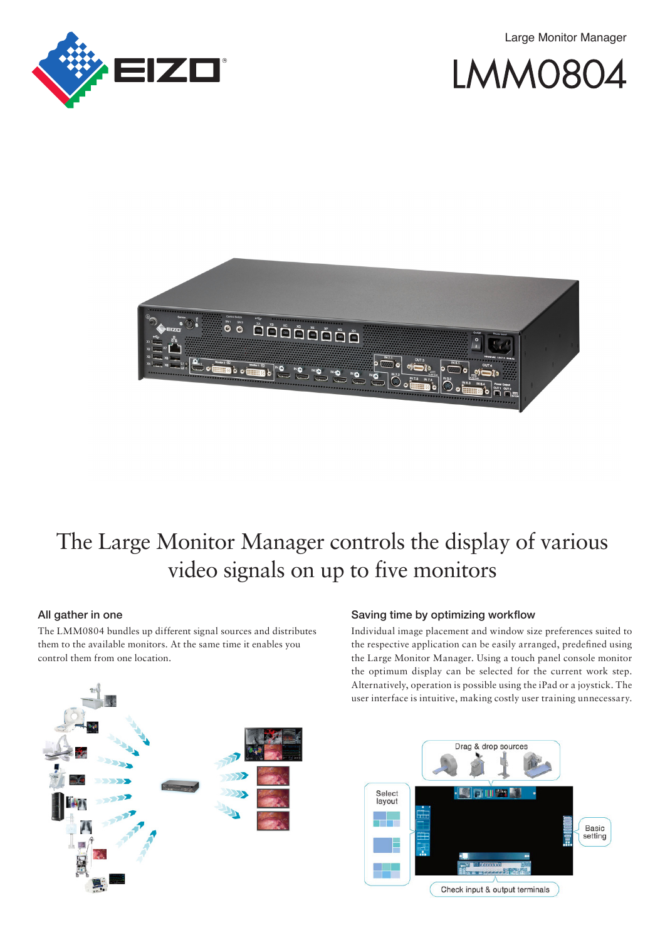Large Monitor Manager







## The Large Monitor Manager controls the display of various video signals on up to five monitors

#### All gather in one

The LMM0804 bundles up different signal sources and distributes them to the available monitors. At the same time it enables you control them from one location.



#### Saving time by optimizing workflow

Individual image placement and window size preferences suited to the respective application can be easily arranged, predefined using the Large Monitor Manager. Using a touch panel console monitor the optimum display can be selected for the current work step. Alternatively, operation is possible using the iPad or a joystick. The user interface is intuitive, making costly user training unnecessary.